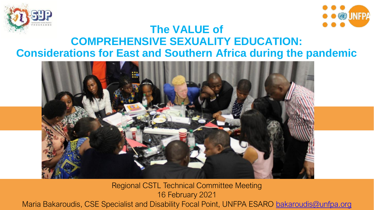



#### **The VALUE of COMPREHENSIVE SEXUALITY EDUCATION: Considerations for East and Southern Africa during the pandemic**



Regional CSTL Technical Committee Meeting 16 February 2021 Maria Bakaroudis, CSE Specialist and Disability Focal Point, UNFPA ESARO [bakaroudis@unfpa.org](mailto:bakaroudis@unfpa.org)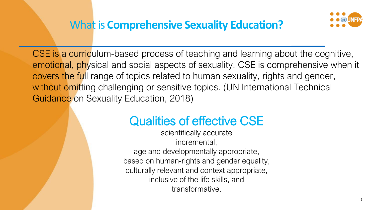

CSE is a curriculum-based process of teaching and learning about the cognitive, emotional, physical and social aspects of sexuality. CSE is comprehensive when it covers the full range of topics related to human sexuality, rights and gender, without omitting challenging or sensitive topics. (UN International Technical Guidance on Sexuality Education, 2018)

# Qualities of effective CSE

scientifically accurate incremental, age and developmentally appropriate, based on human-rights and gender equality, culturally relevant and context appropriate, inclusive of the life skills, and transformative.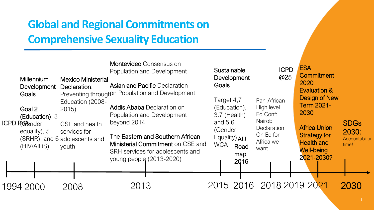## **Global and Regional Commitments on Comprehensive Sexuality Education**

| Millennium<br>Development         | <b>Mexico Ministerial</b><br>Declaration:                                                                                              | <b>Montevideo</b> Consensus on<br>Population and Development<br><b>Asian and Pacific Declaration</b>                                  | Sustainable<br>Development<br>Goals                                 | <b>ICPD</b><br>@25                                              | <b>ESA</b><br><b>Commitment</b><br>2020<br><b>Evaluation &amp;</b>          |                                                 |
|-----------------------------------|----------------------------------------------------------------------------------------------------------------------------------------|---------------------------------------------------------------------------------------------------------------------------------------|---------------------------------------------------------------------|-----------------------------------------------------------------|-----------------------------------------------------------------------------|-------------------------------------------------|
| Goals<br>Goal 2<br>ICPD Protender | Education (2008-<br>2015<br>(Education), 3<br>CSE and health<br>equality), 5<br>services for<br>(SRHR), and 6 adolescents and<br>youth | Preventing throughpn Population and Development<br><b>Addis Ababa Declaration on</b><br>Population and Development<br>beyond 2014     | Target 4,7<br>(Education),<br>3.7 (Health)<br>and $5.6$             | Pan-African<br>High level<br>Ed Conf:<br>Nairobi<br>Declaration | Design of New<br><b>Term 2021-</b><br>2030<br><b>Africa Union</b>           | <b>SDGs</b><br>2030:<br>Accountability<br>time! |
| (HIV/AIDS)                        |                                                                                                                                        | The Eastern and Southern African<br>Ministerial Commitment on CSE and<br>SRH services for adolescents and<br>young people (2013-2020) | (Gender<br>Equality) AU<br><b>WCA</b><br>Road<br>map<br><b>2016</b> | On Ed for<br>Africa we<br>want                                  | <b>Strategy for</b><br><b>Health and</b><br><b>Well-being</b><br>2021-2030? |                                                 |
| 1994 2000                         | 2008                                                                                                                                   | 2013                                                                                                                                  | 2015 2016 2018 2019 2021                                            |                                                                 |                                                                             | 2030                                            |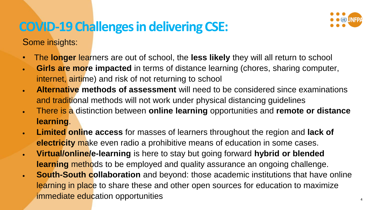# **COVID-19 Challenges in delivering CSE:**



Some insights:

- The **longer** learners are out of school, the **less likely** they will all return to school
- **Girls are more impacted** in terms of distance learning (chores, sharing computer, internet, airtime) and risk of not returning to school
- **Alternative methods of assessment** will need to be considered since examinations and traditional methods will not work under physical distancing guidelines
- There is a distinction between **online learning** opportunities and **remote or distance learning**.
- **Limited online access** for masses of learners throughout the region and **lack of electricity** make even radio a prohibitive means of education in some cases.
- **Virtual/online/e-learning** is here to stay but going forward **hybrid or blended learning** methods to be employed and quality assurance an ongoing challenge.
- **South-South collaboration** and beyond: those academic institutions that have online learning in place to share these and other open sources for education to maximize immediate education opportunities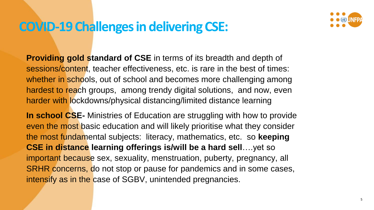#### **COVID-19 Challenges in delivering CSE:**



**Providing gold standard of CSE** in terms of its breadth and depth of sessions/content, teacher effectiveness, etc. is rare in the best of times: whether in schools, out of school and becomes more challenging among hardest to reach groups, among trendy digital solutions, and now, even harder with lockdowns/physical distancing/limited distance learning

**In school CSE-** Ministries of Education are struggling with how to provide even the most basic education and will likely prioritise what they consider the most fundamental subjects: literacy, mathematics, etc. so **keeping CSE in distance learning offerings is/will be a hard sell**….yet so important because sex, sexuality, menstruation, puberty, pregnancy, all SRHR concerns, do not stop or pause for pandemics and in some cases, intensify as in the case of SGBV, unintended pregnancies.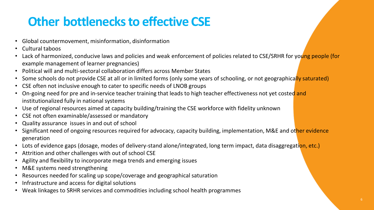# **Other bottlenecks to effective CSE**

- Global countermovement, misinformation, disinformation
- Cultural taboos
- Lack of harmonized, conducive laws and policies and weak enforcement of policies related to CSE/SRHR for young people (for example management of learner pregnancies)
- Political will and multi-sectoral collaboration differs across Member States
- Some schools do not provide CSE at all or in limited forms (only some years of schooling, or not geographically saturated)
- CSE often not inclusive enough to cater to specific needs of LNOB groups
- On-going need for pre and in-service teacher training that leads to high teacher effectiveness not yet costed and institutionalized fully in national systems
- Use of regional resources aimed at capacity building/training the CSE workforce with fidelity unknown
- CSE not often examinable/assessed or mandatory
- Quality assurance issues in and out of school
- Significant need of ongoing resources required for advocacy, capacity building, implementation, M&E and other evidence generation
- Lots of evidence gaps (dosage, modes of delivery-stand alone/integrated, long term impact, data disaggregation, etc.)
- Attrition and other challenges with out of school CSE
- Agility and flexibility to incorporate mega trends and emerging issues
- M&E systems need strengthening
- Resources needed for scaling up scope/coverage and geographical saturation
- Infrastructure and access for digital solutions
- Weak linkages to SRHR services and commodities including school health programmes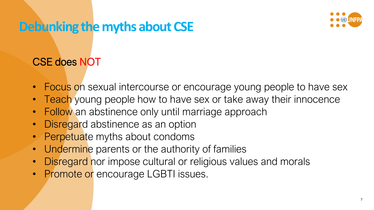### **Debunking the myths about CSE**



#### CSE does NOT

- Focus on sexual intercourse or encourage young people to have sex
- **Teach** young people how to have sex or take away their innocence
- Follow an abstinence only until marriage approach
- Disregard abstinence as an option
- Perpetuate myths about condoms
- Undermine parents or the authority of families
- **Disregard** nor impose cultural or religious values and morals
- Promote or encourage LGBTI issues.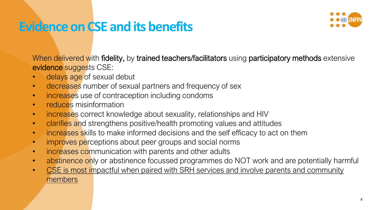### **Evidence on CSE and its benefits**



When delivered with fidelity, by trained teachers/facilitators using participatory methods extensive evidence suggests CSE:

- delays age of sexual debut
- decreases number of sexual partners and frequency of sex
- increases use of contraception including condoms
- reduces misinformation
- increases correct knowledge about sexuality, relationships and HIV
- clarifies and strengthens positive/health promoting values and attitudes
- increases skills to make informed decisions and the self efficacy to act on them
- improves perceptions about peer groups and social norms
- increases communication with parents and other adults
- abstinence only or abstinence focussed programmes do NOT work and are potentially harmful
- CSE is most impactful when paired with SRH services and involve parents and community members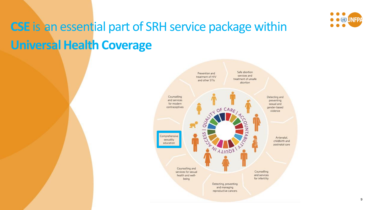

# **CSE** is an essential part of SRH service package within **Universal Health Coverage**

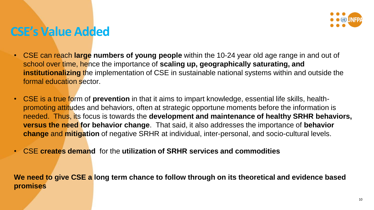#### **CSE's Value Added**

- CSE can reach **large numbers of young people** within the 10-24 year old age range in and out of school over time, hence the importance of **scaling up, geographically saturating, and institutionalizing** the implementation of CSE in sustainable national systems within and outside the formal education sector.
- CSE is a true form of **prevention** in that it aims to impart knowledge, essential life skills, healthpromoting attitudes and behaviors, often at strategic opportune moments before the information is needed. Thus, its focus is towards the **development and maintenance of healthy SRHR behaviors, versus the need for behavior change**. That said, it also addresses the importance of **behavior change** and **mitigation** of negative SRHR at individual, inter-personal, and socio-cultural levels.
- CSE **creates demand** for the **utilization of SRHR services and commodities**

**We need to give CSE a long term chance to follow through on its theoretical and evidence based promises**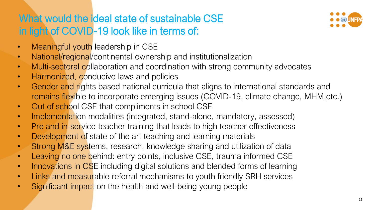#### What would the ideal state of sustainable CSE in light of COVID-19 look like in terms of:



- Meaningful youth leadership in CSE
- National/regional/continental ownership and institutionalization
- Multi-sectoral collaboration and coordination with strong community advocates
- Harmonized, conducive laws and policies
- Gender and rights based national curricula that aligns to international standards and remains flexible to incorporate emerging issues (COVID-19, climate change, MHM,etc.)
- Out of school CSE that compliments in school CSE
- Implementation modalities (integrated, stand-alone, mandatory, assessed)
- Pre and in-service teacher training that leads to high teacher effectiveness
- Development of state of the art teaching and learning materials
- Strong M&E systems, research, knowledge sharing and utilization of data
- Leaving no one behind: entry points, inclusive CSE, trauma informed CSE
- Innovations in CSE including digital solutions and blended forms of learning
- Links and measurable referral mechanisms to youth friendly SRH services
- Significant impact on the health and well-being young people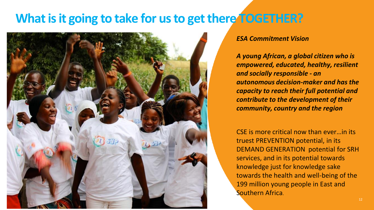### **What is it going to take for us to get there TOGETHER?**



#### *ESA Commitment Vision*

*A young African, a global citizen who is empowered, educated, healthy, resilient and socially responsible - an autonomous decision-maker and has the capacity to reach their full potential and contribute to the development of their community, country and the region*

CSE is more critical now than ever…in its truest PREVENTION potential, in its DEMAND GENERATION potential for SRH services, and in its potential towards knowledge just for knowledge sake towards the health and well-being of the 199 million young people in East and Southern Africa.